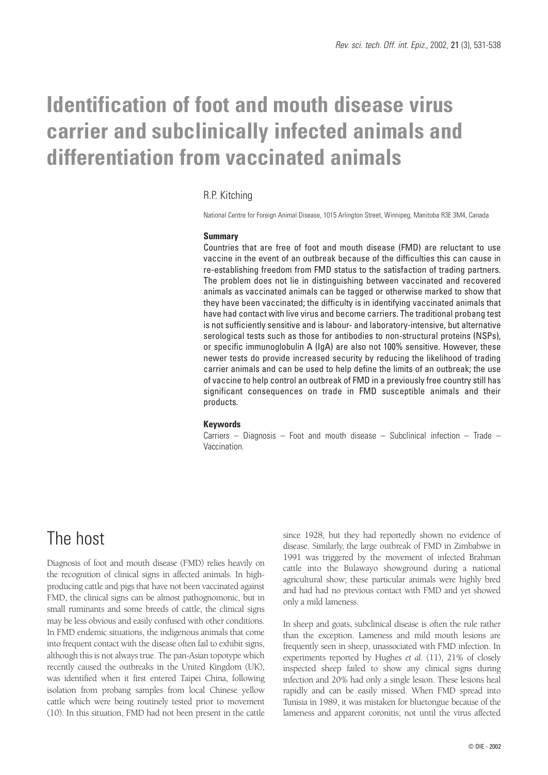# **Identification of foot and mouth disease virus carrier and subclinically infected animals and differentiation from vaccinated animals**

#### R.P. Kitching

National Centre for Foreign Animal Disease, 1015 Arlington Street, Winnipeg, Manitoba R3E 3M4, Canada

#### **Summary**

Countries that are free of foot and mouth disease (FMD) are reluctant to use vaccine in the event of an outbreak because of the difficulties this can cause in re-establishing freedom from FMD status to the satisfaction of trading partners. The problem does not lie in distinguishing between vaccinated and recovered animals as vaccinated animals can be tagged or otherwise marked to show that they have been vaccinated; the difficulty is in identifying vaccinated animals that have had contact with live virus and become carriers. The traditional probang test is not sufficiently sensitive and is labour- and laboratory-intensive, but alternative serological tests such as those for antibodies to non-structural proteins (NSPs), or specific immunoglobulin A (IgA) are also not 100% sensitive. However, these newer tests do provide increased security by reducing the likelihood of trading carrier animals and can be used to help define the limits of an outbreak; the use of vaccine to help control an outbreak of FMD in a previously free country still has significant consequences on trade in FMD susceptible animals and their products.

#### **Keywords**

Carriers – Diagnosis – Foot and mouth disease – Subclinical infection – Trade – Vaccination.

### The host

Diagnosis of foot and mouth disease (FMD) relies heavily on the recognition of clinical signs in affected animals. In highproducing cattle and pigs that have not been vaccinated against FMD, the clinical signs can be almost pathognomonic, but in small ruminants and some breeds of cattle, the clinical signs may be less obvious and easily confused with other conditions. In FMD endemic situations, the indigenous animals that come into frequent contact with the disease often fail to exhibit signs, although this is not always true. The pan-Asian topotype which recently caused the outbreaks in the United Kingdom (UK), was identified when it first entered Taipei China, following isolation from probang samples from local Chinese yellow cattle which were being routinely tested prior to movement (10). In this situation, FMD had not been present in the cattle

since 1928, but they had reportedly shown no evidence of disease. Similarly, the large outbreak of FMD in Zimbabwe in 1991 was triggered by the movement of infected Brahman cattle into the Bulawayo showground during a national agricultural show; these particular animals were highly bred and had had no previous contact with FMD and yet showed only a mild lameness.

In sheep and goats, subclinical disease is often the rule rather than the exception. Lameness and mild mouth lesions are frequently seen in sheep, unassociated with FMD infection. In experiments reported by Hughes *et al.* (11), 21% of closely inspected sheep failed to show any clinical signs during infection and 20% had only a single lesion. These lesions heal rapidly and can be easily missed. When FMD spread into Tunisia in 1989, it was mistaken for bluetongue because of the lameness and apparent coronitis; not until the virus affected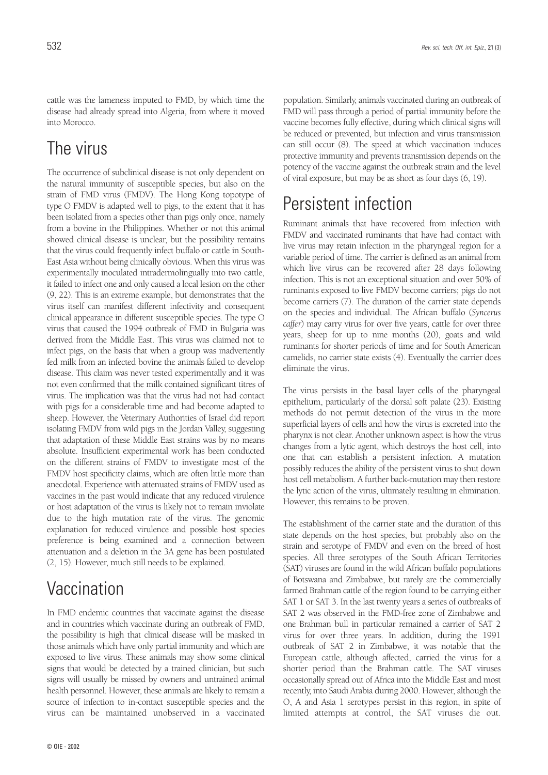cattle was the lameness imputed to FMD, by which time the disease had already spread into Algeria, from where it moved into Morocco.

# The virus

The occurrence of subclinical disease is not only dependent on the natural immunity of susceptible species, but also on the strain of FMD virus (FMDV). The Hong Kong topotype of type O FMDV is adapted well to pigs, to the extent that it has been isolated from a species other than pigs only once, namely from a bovine in the Philippines. Whether or not this animal showed clinical disease is unclear, but the possibility remains that the virus could frequently infect buffalo or cattle in South-East Asia without being clinically obvious. When this virus was experimentally inoculated intradermolingually into two cattle, it failed to infect one and only caused a local lesion on the other (9, 22). This is an extreme example, but demonstrates that the virus itself can manifest different infectivity and consequent clinical appearance in different susceptible species. The type O virus that caused the 1994 outbreak of FMD in Bulgaria was derived from the Middle East. This virus was claimed not to infect pigs, on the basis that when a group was inadvertently fed milk from an infected bovine the animals failed to develop disease. This claim was never tested experimentally and it was not even confirmed that the milk contained significant titres of virus. The implication was that the virus had not had contact with pigs for a considerable time and had become adapted to sheep. However, the Veterinary Authorities of Israel did report isolating FMDV from wild pigs in the Jordan Valley, suggesting that adaptation of these Middle East strains was by no means absolute. Insufficient experimental work has been conducted on the different strains of FMDV to investigate most of the FMDV host specificity claims, which are often little more than anecdotal. Experience with attenuated strains of FMDV used as vaccines in the past would indicate that any reduced virulence or host adaptation of the virus is likely not to remain inviolate due to the high mutation rate of the virus. The genomic explanation for reduced virulence and possible host species preference is being examined and a connection between attenuation and a deletion in the 3A gene has been postulated (2, 15). However, much still needs to be explained.

# **Vaccination**

In FMD endemic countries that vaccinate against the disease and in countries which vaccinate during an outbreak of FMD, the possibility is high that clinical disease will be masked in those animals which have only partial immunity and which are exposed to live virus. These animals may show some clinical signs that would be detected by a trained clinician, but such signs will usually be missed by owners and untrained animal health personnel. However, these animals are likely to remain a source of infection to in-contact susceptible species and the virus can be maintained unobserved in a vaccinated population. Similarly, animals vaccinated during an outbreak of FMD will pass through a period of partial immunity before the vaccine becomes fully effective, during which clinical signs will be reduced or prevented, but infection and virus transmission can still occur (8). The speed at which vaccination induces protective immunity and prevents transmission depends on the potency of the vaccine against the outbreak strain and the level of viral exposure, but may be as short as four days (6, 19).

### Persistent infection

Ruminant animals that have recovered from infection with FMDV and vaccinated ruminants that have had contact with live virus may retain infection in the pharyngeal region for a variable period of time. The carrier is defined as an animal from which live virus can be recovered after 28 days following infection. This is not an exceptional situation and over 50% of ruminants exposed to live FMDV become carriers; pigs do not become carriers (7). The duration of the carrier state depends on the species and individual. The African buffalo (*Syncerus caffer*) may carry virus for over five years, cattle for over three years, sheep for up to nine months (20), goats and wild ruminants for shorter periods of time and for South American camelids, no carrier state exists (4). Eventually the carrier does eliminate the virus.

The virus persists in the basal layer cells of the pharyngeal epithelium, particularly of the dorsal soft palate (23). Existing methods do not permit detection of the virus in the more superficial layers of cells and how the virus is excreted into the pharynx is not clear. Another unknown aspect is how the virus changes from a lytic agent, which destroys the host cell, into one that can establish a persistent infection. A mutation possibly reduces the ability of the persistent virus to shut down host cell metabolism. A further back-mutation may then restore the lytic action of the virus, ultimately resulting in elimination. However, this remains to be proven.

The establishment of the carrier state and the duration of this state depends on the host species, but probably also on the strain and serotype of FMDV and even on the breed of host species. All three serotypes of the South African Territories (SAT) viruses are found in the wild African buffalo populations of Botswana and Zimbabwe, but rarely are the commercially farmed Brahman cattle of the region found to be carrying either SAT 1 or SAT 3. In the last twenty years a series of outbreaks of SAT 2 was observed in the FMD-free zone of Zimbabwe and one Brahman bull in particular remained a carrier of SAT 2 virus for over three years. In addition, during the 1991 outbreak of SAT 2 in Zimbabwe, it was notable that the European cattle, although affected, carried the virus for a shorter period than the Brahman cattle. The SAT viruses occasionally spread out of Africa into the Middle East and most recently, into Saudi Arabia during 2000. However, although the O, A and Asia 1 serotypes persist in this region, in spite of limited attempts at control, the SAT viruses die out.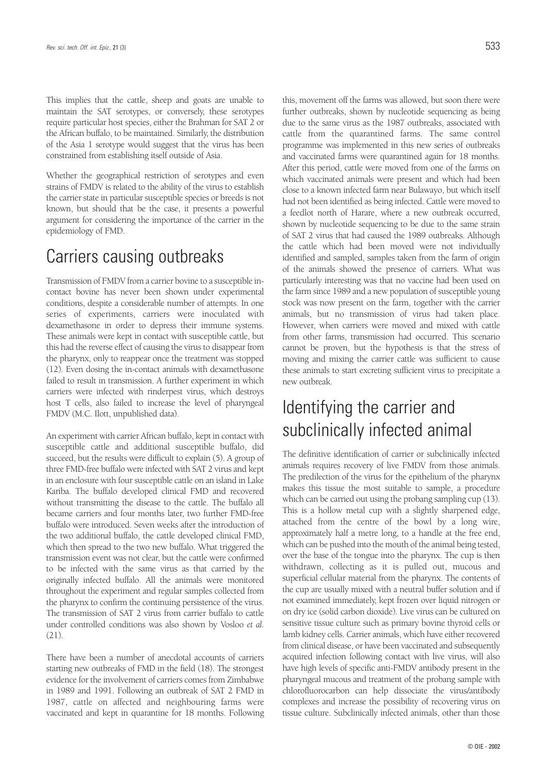This implies that the cattle, sheep and goats are unable to maintain the SAT serotypes, or conversely, these serotypes require particular host species, either the Brahman for SAT 2 or the African buffalo, to be maintained. Similarly, the distribution of the Asia 1 serotype would suggest that the virus has been constrained from establishing itself outside of Asia.

Whether the geographical restriction of serotypes and even strains of FMDV is related to the ability of the virus to establish the carrier state in particular susceptible species or breeds is not known, but should that be the case, it presents a powerful argument for considering the importance of the carrier in the epidemiology of FMD.

### Carriers causing outbreaks

Transmission of FMDV from a carrier bovine to a susceptible incontact bovine has never been shown under experimental conditions, despite a considerable number of attempts. In one series of experiments, carriers were inoculated with dexamethasone in order to depress their immune systems. These animals were kept in contact with susceptible cattle, but this had the reverse effect of causing the virus to disappear from the pharynx, only to reappear once the treatment was stopped (12). Even dosing the in-contact animals with dexamethasone failed to result in transmission. A further experiment in which carriers were infected with rinderpest virus, which destroys host T cells, also failed to increase the level of pharyngeal FMDV (M.C. Ilott, unpublished data).

An experiment with carrier African buffalo, kept in contact with susceptible cattle and additional susceptible buffalo, did succeed, but the results were difficult to explain (5). A group of three FMD-free buffalo were infected with SAT 2 virus and kept in an enclosure with four susceptible cattle on an island in Lake Kariba. The buffalo developed clinical FMD and recovered without transmitting the disease to the cattle. The buffalo all became carriers and four months later, two further FMD-free buffalo were introduced. Seven weeks after the introduction of the two additional buffalo, the cattle developed clinical FMD, which then spread to the two new buffalo. What triggered the transmission event was not clear, but the cattle were confirmed to be infected with the same virus as that carried by the originally infected buffalo. All the animals were monitored throughout the experiment and regular samples collected from the pharynx to confirm the continuing persistence of the virus. The transmission of SAT 2 virus from carrier buffalo to cattle under controlled conditions was also shown by Vosloo *et al.* (21).

There have been a number of anecdotal accounts of carriers starting new outbreaks of FMD in the field (18). The strongest evidence for the involvement of carriers comes from Zimbabwe in 1989 and 1991. Following an outbreak of SAT 2 FMD in 1987, cattle on affected and neighbouring farms were vaccinated and kept in quarantine for 18 months. Following this, movement off the farms was allowed, but soon there were further outbreaks, shown by nucleotide sequencing as being due to the same virus as the 1987 outbreaks, associated with cattle from the quarantined farms. The same control programme was implemented in this new series of outbreaks and vaccinated farms were quarantined again for 18 months. After this period, cattle were moved from one of the farms on which vaccinated animals were present and which had been close to a known infected farm near Bulawayo, but which itself had not been identified as being infected. Cattle were moved to a feedlot north of Harare, where a new outbreak occurred, shown by nucleotide sequencing to be due to the same strain of SAT 2 virus that had caused the 1989 outbreaks. Although the cattle which had been moved were not individually identified and sampled, samples taken from the farm of origin of the animals showed the presence of carriers. What was particularly interesting was that no vaccine had been used on the farm since 1989 and a new population of susceptible young stock was now present on the farm, together with the carrier animals, but no transmission of virus had taken place. However, when carriers were moved and mixed with cattle from other farms, transmission had occurred. This scenario cannot be proven, but the hypothesis is that the stress of moving and mixing the carrier cattle was sufficient to cause these animals to start excreting sufficient virus to precipitate a new outbreak.

# Identifying the carrier and subclinically infected animal

The definitive identification of carrier or subclinically infected animals requires recovery of live FMDV from those animals. The predilection of the virus for the epithelium of the pharynx makes this tissue the most suitable to sample, a procedure which can be carried out using the probang sampling cup (13). This is a hollow metal cup with a slightly sharpened edge, attached from the centre of the bowl by a long wire, approximately half a metre long, to a handle at the free end, which can be pushed into the mouth of the animal being tested, over the base of the tongue into the pharynx. The cup is then withdrawn, collecting as it is pulled out, mucous and superficial cellular material from the pharynx. The contents of the cup are usually mixed with a neutral buffer solution and if not examined immediately, kept frozen over liquid nitrogen or on dry ice (solid carbon dioxide). Live virus can be cultured on sensitive tissue culture such as primary bovine thyroid cells or lamb kidney cells. Carrier animals, which have either recovered from clinical disease, or have been vaccinated and subsequently acquired infection following contact with live virus, will also have high levels of specific anti-FMDV antibody present in the pharyngeal mucous and treatment of the probang sample with chlorofluorocarbon can help dissociate the virus/antibody complexes and increase the possibility of recovering virus on tissue culture. Subclinically infected animals, other than those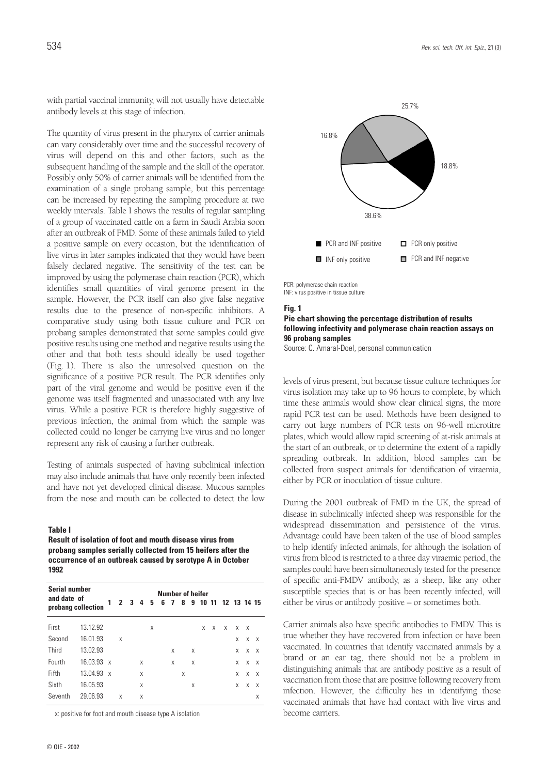with partial vaccinal immunity, will not usually have detectable antibody levels at this stage of infection.

The quantity of virus present in the pharynx of carrier animals can vary considerably over time and the successful recovery of virus will depend on this and other factors, such as the subsequent handling of the sample and the skill of the operator. Possibly only 50% of carrier animals will be identified from the examination of a single probang sample, but this percentage can be increased by repeating the sampling procedure at two weekly intervals. Table I shows the results of regular sampling of a group of vaccinated cattle on a farm in Saudi Arabia soon after an outbreak of FMD. Some of these animals failed to yield a positive sample on every occasion, but the identification of live virus in later samples indicated that they would have been falsely declared negative. The sensitivity of the test can be improved by using the polymerase chain reaction (PCR), which identifies small quantities of viral genome present in the sample. However, the PCR itself can also give false negative results due to the presence of non-specific inhibitors. A comparative study using both tissue culture and PCR on probang samples demonstrated that some samples could give positive results using one method and negative results using the other and that both tests should ideally be used together (Fig. 1). There is also the unresolved question on the significance of a positive PCR result. The PCR identifies only part of the viral genome and would be positive even if the genome was itself fragmented and unassociated with any live virus. While a positive PCR is therefore highly suggestive of previous infection, the animal from which the sample was collected could no longer be carrying live virus and no longer represent any risk of causing a further outbreak.

Testing of animals suspected of having subclinical infection may also include animals that have only recently been infected and have not yet developed clinical disease. Mucous samples from the nose and mouth can be collected to detect the low

#### **Table I**

**Result of isolation of foot and mouth disease virus from probang samples serially collected from 15 heifers after the occurrence of an outbreak caused by serotype A in October 1992**

| <b>Serial number</b><br>and date of<br>probang collection |            | <b>Number of heifer</b> |   |             |   |   |  |   |     |   |   |   |                     |   |          |              |
|-----------------------------------------------------------|------------|-------------------------|---|-------------|---|---|--|---|-----|---|---|---|---------------------|---|----------|--------------|
|                                                           |            | 1                       |   | $2 \t3 \t4$ |   | 5 |  |   | 678 |   |   |   | 9 10 11 12 13 14 15 |   |          |              |
| First                                                     | 13.12.92   |                         |   |             |   | X |  |   |     |   | X | X | X                   | X | $\times$ |              |
| Second                                                    | 16.01.93   |                         | X |             |   |   |  |   |     |   |   |   |                     | X | X        | $\mathsf{X}$ |
| Third                                                     | 13.02.93   |                         |   |             |   |   |  | X |     | X |   |   |                     | X | X        | $\mathsf{X}$ |
| Fourth                                                    | 16.03.93 x |                         |   |             | X |   |  | X |     | X |   |   |                     | X | X        | $\mathsf{X}$ |
| Fifth                                                     | 13.04.93 x |                         |   |             | X |   |  |   | X   |   |   |   |                     | X | X        | $\mathsf{X}$ |
| Sixth                                                     | 16.05.93   |                         |   |             | X |   |  |   |     | X |   |   |                     | X | X        | $\mathsf{X}$ |
| Seventh                                                   | 29.06.93   |                         | X |             | X |   |  |   |     |   |   |   |                     |   |          | Χ            |

x: positive for foot and mouth disease type A isolation



PCR: polymerase chain reaction INF: virus positive in tissue culture

#### **Fig. 1**

**Pie chart showing the percentage distribution of results following infectivity and polymerase chain reaction assays on 96 probang samples** 

Source: C. Amaral-Doel, personal communication

levels of virus present, but because tissue culture techniques for virus isolation may take up to 96 hours to complete, by which time these animals would show clear clinical signs, the more rapid PCR test can be used. Methods have been designed to carry out large numbers of PCR tests on 96-well microtitre plates, which would allow rapid screening of at-risk animals at the start of an outbreak, or to determine the extent of a rapidly spreading outbreak. In addition, blood samples can be collected from suspect animals for identification of viraemia, either by PCR or inoculation of tissue culture.

During the 2001 outbreak of FMD in the UK, the spread of disease in subclinically infected sheep was responsible for the widespread dissemination and persistence of the virus. Advantage could have been taken of the use of blood samples to help identify infected animals, for although the isolation of virus from blood is restricted to a three day viraemic period, the samples could have been simultaneously tested for the presence of specific anti-FMDV antibody, as a sheep, like any other susceptible species that is or has been recently infected, will either be virus or antibody positive – or sometimes both.

Carrier animals also have specific antibodies to FMDV. This is true whether they have recovered from infection or have been vaccinated. In countries that identify vaccinated animals by a brand or an ear tag, there should not be a problem in distinguishing animals that are antibody positive as a result of vaccination from those that are positive following recovery from infection. However, the difficulty lies in identifying those vaccinated animals that have had contact with live virus and become carriers.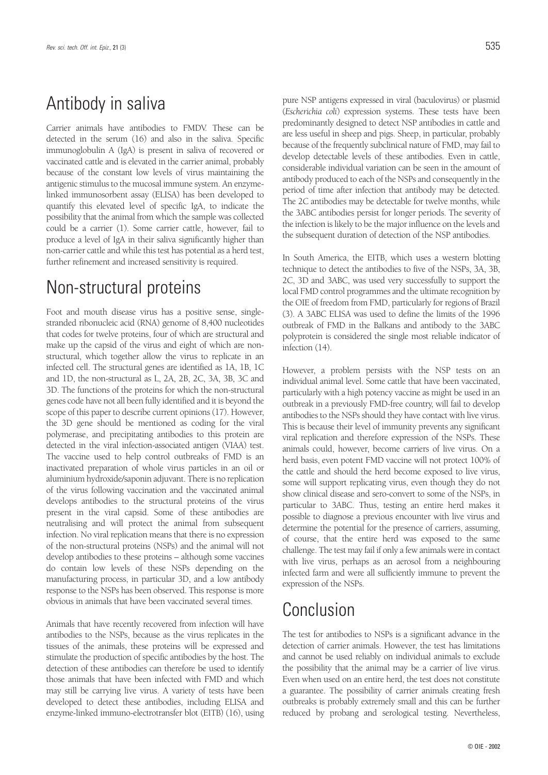### Antibody in saliva

Carrier animals have antibodies to FMDV. These can be detected in the serum (16) and also in the saliva. Specific immunoglobulin A (IgA) is present in saliva of recovered or vaccinated cattle and is elevated in the carrier animal, probably because of the constant low levels of virus maintaining the antigenic stimulus to the mucosal immune system. An enzymelinked immunosorbent assay (ELISA) has been developed to quantify this elevated level of specific IgA, to indicate the possibility that the animal from which the sample was collected could be a carrier (1). Some carrier cattle, however, fail to produce a level of IgA in their saliva significantly higher than non-carrier cattle and while this test has potential as a herd test, further refinement and increased sensitivity is required.

### Non-structural proteins

Foot and mouth disease virus has a positive sense, singlestranded ribonucleic acid (RNA) genome of 8,400 nucleotides that codes for twelve proteins, four of which are structural and make up the capsid of the virus and eight of which are nonstructural, which together allow the virus to replicate in an infected cell. The structural genes are identified as 1A, 1B, 1C and 1D, the non-structural as L, 2A, 2B, 2C, 3A, 3B, 3C and 3D. The functions of the proteins for which the non-structural genes code have not all been fully identified and it is beyond the scope of this paper to describe current opinions (17). However, the 3D gene should be mentioned as coding for the viral polymerase, and precipitating antibodies to this protein are detected in the viral infection-associated antigen (VIAA) test. The vaccine used to help control outbreaks of FMD is an inactivated preparation of whole virus particles in an oil or aluminium hydroxide/saponin adjuvant. There is no replication of the virus following vaccination and the vaccinated animal develops antibodies to the structural proteins of the virus present in the viral capsid. Some of these antibodies are neutralising and will protect the animal from subsequent infection. No viral replication means that there is no expression of the non-structural proteins (NSPs) and the animal will not develop antibodies to these proteins – although some vaccines do contain low levels of these NSPs depending on the manufacturing process, in particular 3D, and a low antibody response to the NSPs has been observed. This response is more obvious in animals that have been vaccinated several times.

Animals that have recently recovered from infection will have antibodies to the NSPs, because as the virus replicates in the tissues of the animals, these proteins will be expressed and stimulate the production of specific antibodies by the host. The detection of these antibodies can therefore be used to identify those animals that have been infected with FMD and which may still be carrying live virus. A variety of tests have been developed to detect these antibodies, including ELISA and enzyme-linked immuno-electrotransfer blot (EITB) (16), using pure NSP antigens expressed in viral (baculovirus) or plasmid (*Escherichia coli*) expression systems. These tests have been predominantly designed to detect NSP antibodies in cattle and are less useful in sheep and pigs. Sheep, in particular, probably because of the frequently subclinical nature of FMD, may fail to develop detectable levels of these antibodies. Even in cattle, considerable individual variation can be seen in the amount of antibody produced to each of the NSPs and consequently in the period of time after infection that antibody may be detected. The 2C antibodies may be detectable for twelve months, while the 3ABC antibodies persist for longer periods. The severity of the infection is likely to be the major influence on the levels and the subsequent duration of detection of the NSP antibodies.

In South America, the EITB, which uses a western blotting technique to detect the antibodies to five of the NSPs, 3A, 3B, 2C, 3D and 3ABC, was used very successfully to support the local FMD control programmes and the ultimate recognition by the OIE of freedom from FMD, particularly for regions of Brazil (3). A 3ABC ELISA was used to define the limits of the 1996 outbreak of FMD in the Balkans and antibody to the 3ABC polyprotein is considered the single most reliable indicator of infection (14).

However, a problem persists with the NSP tests on an individual animal level. Some cattle that have been vaccinated, particularly with a high potency vaccine as might be used in an outbreak in a previously FMD-free country, will fail to develop antibodies to the NSPs should they have contact with live virus. This is because their level of immunity prevents any significant viral replication and therefore expression of the NSPs. These animals could, however, become carriers of live virus. On a herd basis, even potent FMD vaccine will not protect 100% of the cattle and should the herd become exposed to live virus, some will support replicating virus, even though they do not show clinical disease and sero-convert to some of the NSPs, in particular to 3ABC. Thus, testing an entire herd makes it possible to diagnose a previous encounter with live virus and determine the potential for the presence of carriers, assuming, of course, that the entire herd was exposed to the same challenge. The test may fail if only a few animals were in contact with live virus, perhaps as an aerosol from a neighbouring infected farm and were all sufficiently immune to prevent the expression of the NSPs.

### Conclusion

The test for antibodies to NSPs is a significant advance in the detection of carrier animals. However, the test has limitations and cannot be used reliably on individual animals to exclude the possibility that the animal may be a carrier of live virus. Even when used on an entire herd, the test does not constitute a guarantee. The possibility of carrier animals creating fresh outbreaks is probably extremely small and this can be further reduced by probang and serological testing. Nevertheless,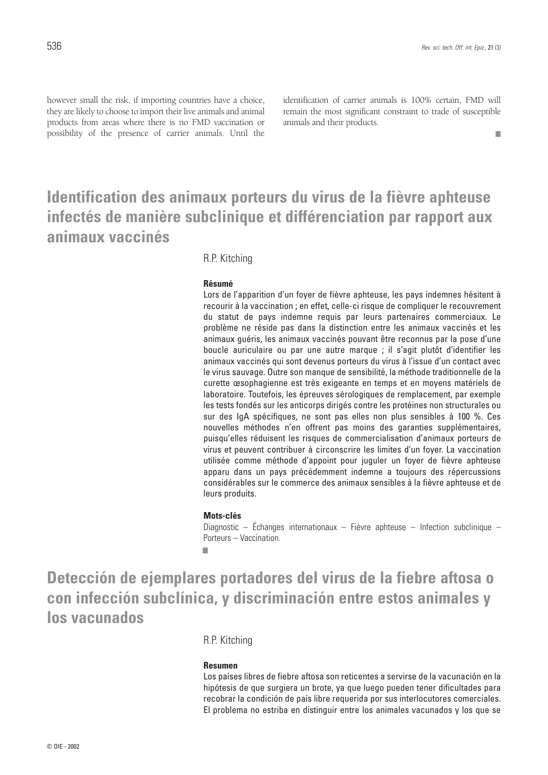■

however small the risk, if importing countries have a choice, they are likely to choose to import their live animals and animal products from areas where there is no FMD vaccination or possibility of the presence of carrier animals. Until the identification of carrier animals is 100% certain, FMD will remain the most significant constraint to trade of susceptible animals and their products.

### **Identification des animaux porteurs du virus de la fièvre aphteuse infectés de manière subclinique et différenciation par rapport aux animaux vaccinés**

R.P. Kitching

#### **Résumé**

Lors de l'apparition d'un foyer de fièvre aphteuse, les pays indemnes hésitent à recourir à la vaccination ; en effet, celle-ci risque de compliquer le recouvrement du statut de pays indemne requis par leurs partenaires commerciaux. Le problème ne réside pas dans la distinction entre les animaux vaccinés et les animaux guéris, les animaux vaccinés pouvant être reconnus par la pose d'une boucle auriculaire ou par une autre marque ; il s'agit plutôt d'identifier les animaux vaccinés qui sont devenus porteurs du virus à l'issue d'un contact avec le virus sauvage. Outre son manque de sensibilité, la méthode traditionnelle de la curette œsophagienne est très exigeante en temps et en moyens matériels de laboratoire. Toutefois, les épreuves sérologiques de remplacement, par exemple les tests fondés sur les anticorps dirigés contre les protéines non structurales ou sur des IgA spécifiques, ne sont pas elles non plus sensibles à 100 %. Ces nouvelles méthodes n'en offrent pas moins des garanties supplémentaires, puisqu'elles réduisent les risques de commercialisation d'animaux porteurs de virus et peuvent contribuer à circonscrire les limites d'un foyer. La vaccination utilisée comme méthode d'appoint pour juguler un foyer de fièvre aphteuse apparu dans un pays précédemment indemne a toujours des répercussions considérables sur le commerce des animaux sensibles à la fièvre aphteuse et de leurs produits.

#### **Mots-clés**

Diagnostic – Échanges internationaux – Fièvre aphteuse – Infection subclinique – Porteurs – Vaccination.

■

**Detección de ejemplares portadores del virus de la fiebre aftosa o con infección subclínica, y discriminación entre estos animales y los vacunados**

#### R.P. Kitching

#### **Resumen**

Los países libres de fiebre aftosa son reticentes a servirse de la vacunación en la hipótesis de que surgiera un brote, ya que luego pueden tener dificultades para recobrar la condición de país libre requerida por sus interlocutores comerciales. El problema no estriba en distinguir entre los animales vacunados y los que se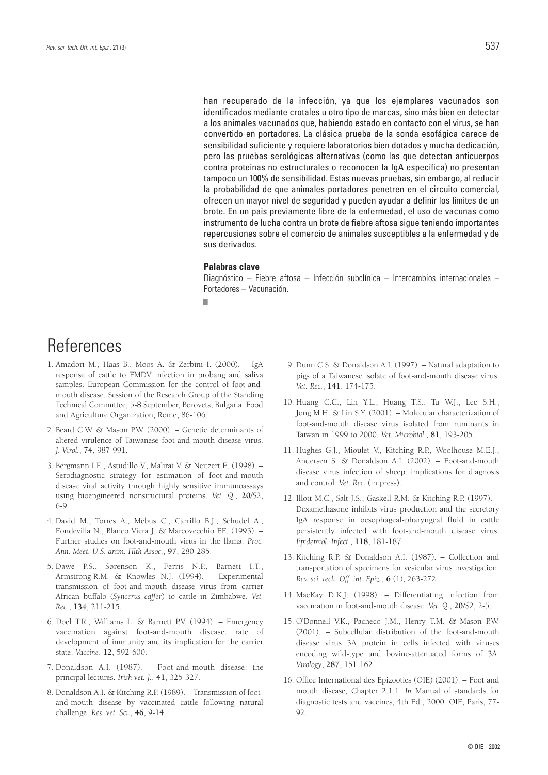han recuperado de la infección, ya que los ejemplares vacunados son identificados mediante crotales u otro tipo de marcas, sino más bien en detectar a los animales vacunados que, habiendo estado en contacto con el virus, se han convertido en portadores. La clásica prueba de la sonda esofágica carece de sensibilidad suficiente y requiere laboratorios bien dotados y mucha dedicación, pero las pruebas serológicas alternativas (como las que detectan anticuerpos contra proteínas no estructurales o reconocen la IgA específica) no presentan tampoco un 100% de sensibilidad. Estas nuevas pruebas, sin embargo, al reducir la probabilidad de que animales portadores penetren en el circuito comercial, ofrecen un mayor nivel de seguridad y pueden ayudar a definir los límites de un brote. En un país previamente libre de la enfermedad, el uso de vacunas como instrumento de lucha contra un brote de fiebre aftosa sigue teniendo importantes repercusiones sobre el comercio de animales susceptibles a la enfermedad y de sus derivados.

#### **Palabras clave**

Diagnóstico – Fiebre aftosa – Infección subclínica – Intercambios internacionales – Portadores – Vacunación.

■

### **References**

- 1. Amadori M., Haas B., Moos A. & Zerbini I. (2000). IgA response of cattle to FMDV infection in probang and saliva samples. European Commission for the control of foot-andmouth disease. Session of the Research Group of the Standing Technical Committee, 5-8 September, Borovets, Bulgaria. Food and Agriculture Organization, Rome, 86-106.
- 2. Beard C.W. & Mason P.W. (2000). Genetic determinants of altered virulence of Taiwanese foot-and-mouth disease virus. *J. Virol.*, **74**, 987-991.
- 3. Bergmann I.E., Astudillo V., Malirat V. & Neitzert E. (1998). Serodiagnostic strategy for estimation of foot-and-mouth disease viral activity through highly sensitive immunoassays using bioengineered nonstructural proteins. *Vet. Q.*, **20**/S2, 6-9.
- 4. David M., Torres A., Mebus C., Carrillo B.J., Schudel A., Fondevilla N., Blanco Viera J. & Marcovecchio F.E. (1993). – Further studies on foot-and-mouth virus in the llama. *Proc. Ann. Meet. U.S. anim. Hlth Assoc.*, **97**, 280-285.
- 5. Dawe P.S., Sørenson K., Ferris N.P., Barnett I.T., Armstrong R.M. & Knowles N.J. (1994). – Experimental transmission of foot-and-mouth disease virus from carrier African buffalo (*Syncerus caffer*) to cattle in Zimbabwe. *Vet. Rec*., **134**, 211-215.
- 6. Doel T.R., Williams L. & Barnett P.V. (1994). Emergency vaccination against foot-and-mouth disease: rate of development of immunity and its implication for the carrier state. *Vaccine*, **12**, 592-600.
- 7. Donaldson A.I. (1987). Foot-and-mouth disease: the principal lectures. *Irish vet. J.*, **41**, 325-327.
- 8. Donaldson A.I. & Kitching R.P. (1989). Transmission of footand-mouth disease by vaccinated cattle following natural challenge. *Res. vet. Sci.*, **46**, 9-14.
- 9. Dunn C.S. & Donaldson A.I. (1997). Natural adaptation to pigs of a Taiwanese isolate of foot-and-mouth disease virus. *Vet. Rec.*, **141**, 174-175.
- 10. Huang C.C., Lin Y.L., Huang T.S., Tu W.J., Lee S.H., Jong M.H. & Lin S.Y. (2001). – Molecular characterization of foot-and-mouth disease virus isolated from ruminants in Taiwan in 1999 to 2000. *Vet. Microbiol.*, **81**, 193-205.
- 11. Hughes G.J., Mioulet V., Kitching R.P., Woolhouse M.E.J., Andersen S. & Donaldson A.I. (2002). – Foot-and-mouth disease virus infection of sheep: implications for diagnosis and control. *Vet. Rec.* (in press).
- 12. Illott M.C., Salt J.S., Gaskell R.M. & Kitching R.P. (1997). Dexamethasone inhibits virus production and the secretory IgA response in oesophageal-pharyngeal fluid in cattle persistently infected with foot-and-mouth disease virus. *Epidemiol. Infect.*, **118**, 181-187.
- 13. Kitching R.P. & Donaldson A.I. (1987). Collection and transportation of specimens for vesicular virus investigation. *Rev. sci. tech. Off. int. Epiz.*, **6** (1), 263-272.
- 14. MacKay D.K.J. (1998). Differentiating infection from vaccination in foot-and-mouth disease. *Vet. Q.*, **20**/S2, 2-5.
- 15. O'Donnell V.K., Pacheco J.M., Henry T.M. & Mason P.W. (2001). – Subcellular distribution of the foot-and-mouth disease virus 3A protein in cells infected with viruses encoding wild-type and bovine-attenuated forms of 3A. *Virology*, **287**, 151-162.
- 16. Office International des Epizooties (OIE) (2001). Foot and mouth disease, Chapter 2.1.1. *In* Manual of standards for diagnostic tests and vaccines, 4th Ed., 2000. OIE, Paris, 77- 92.